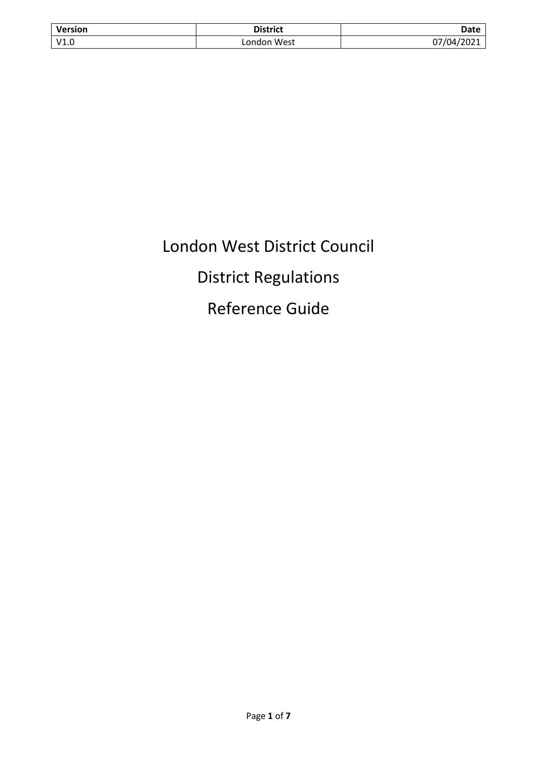| <b>Version</b> | <b>District</b> | Date       |
|----------------|-----------------|------------|
| V1.0           | London West     | 07/04/2021 |

# London West District Council District Regulations Reference Guide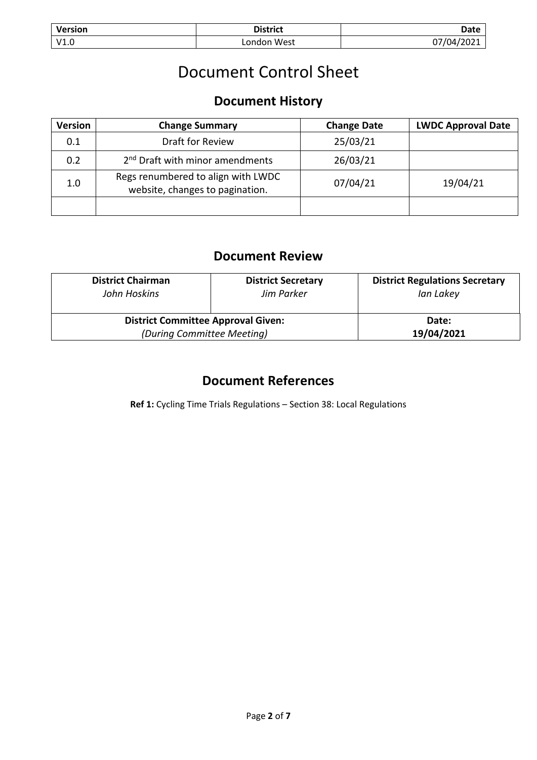| <b>Version</b> | District       | Date |
|----------------|----------------|------|
| V1.0           | West<br>∟ondon | 1 M  |

# Document Control Sheet

# **Document History**

| Version | <b>Change Summary</b>                                                 | <b>Change Date</b> | <b>LWDC Approval Date</b> |
|---------|-----------------------------------------------------------------------|--------------------|---------------------------|
| 0.1     | Draft for Review                                                      | 25/03/21           |                           |
| 0.2     | 2 <sup>nd</sup> Draft with minor amendments                           | 26/03/21           |                           |
| 1.0     | Regs renumbered to align with LWDC<br>website, changes to pagination. | 07/04/21           | 19/04/21                  |
|         |                                                                       |                    |                           |

# **Document Review**

| <b>District Chairman</b><br>John Hoskins  | <b>District Secretary</b><br>Jim Parker | <b>District Regulations Secretary</b><br>Ian Lakey |
|-------------------------------------------|-----------------------------------------|----------------------------------------------------|
| <b>District Committee Approval Given:</b> |                                         | Date:                                              |
| (During Committee Meeting)                |                                         | 19/04/2021                                         |

# **Document References**

**Ref 1:** Cycling Time Trials Regulations – Section 38: Local Regulations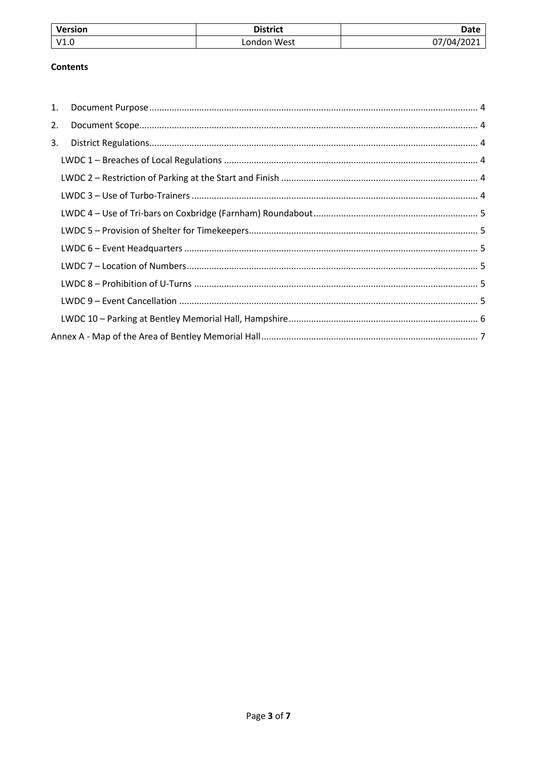| <b>Version</b> | <b>District</b> | Date       |
|----------------|-----------------|------------|
| V1.            | _ondon West     | 77/04/2021 |

#### **Contents**

| 1. |  |
|----|--|
| 2. |  |
| 3. |  |
|    |  |
|    |  |
|    |  |
|    |  |
|    |  |
|    |  |
|    |  |
|    |  |
|    |  |
|    |  |
|    |  |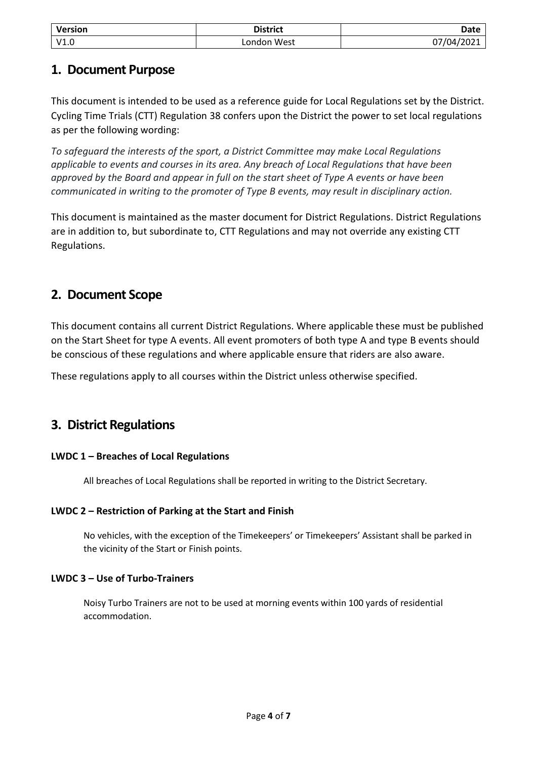| <b>Version</b> | <b>District</b> | <b>Date</b> |
|----------------|-----------------|-------------|
| V1.0           | London West     | 07/04/2021  |

### <span id="page-3-0"></span>**1. Document Purpose**

This document is intended to be used as a reference guide for Local Regulations set by the District. Cycling Time Trials (CTT) Regulation 38 confers upon the District the power to set local regulations as per the following wording:

*To safeguard the interests of the sport, a District Committee may make Local Regulations applicable to events and courses in its area. Any breach of Local Regulations that have been approved by the Board and appear in full on the start sheet of Type A events or have been communicated in writing to the promoter of Type B events, may result in disciplinary action.*

This document is maintained as the master document for District Regulations. District Regulations are in addition to, but subordinate to, CTT Regulations and may not override any existing CTT Regulations.

# <span id="page-3-1"></span>**2. Document Scope**

This document contains all current District Regulations. Where applicable these must be published on the Start Sheet for type A events. All event promoters of both type A and type B events should be conscious of these regulations and where applicable ensure that riders are also aware.

These regulations apply to all courses within the District unless otherwise specified.

# <span id="page-3-2"></span>**3. District Regulations**

#### <span id="page-3-3"></span>**LWDC 1 – Breaches of Local Regulations**

All breaches of Local Regulations shall be reported in writing to the District Secretary.

#### <span id="page-3-4"></span>**LWDC 2 – Restriction of Parking at the Start and Finish**

No vehicles, with the exception of the Timekeepers' or Timekeepers' Assistant shall be parked in the vicinity of the Start or Finish points.

#### <span id="page-3-5"></span>**LWDC 3 – Use of Turbo-Trainers**

Noisy Turbo Trainers are not to be used at morning events within 100 yards of residential accommodation.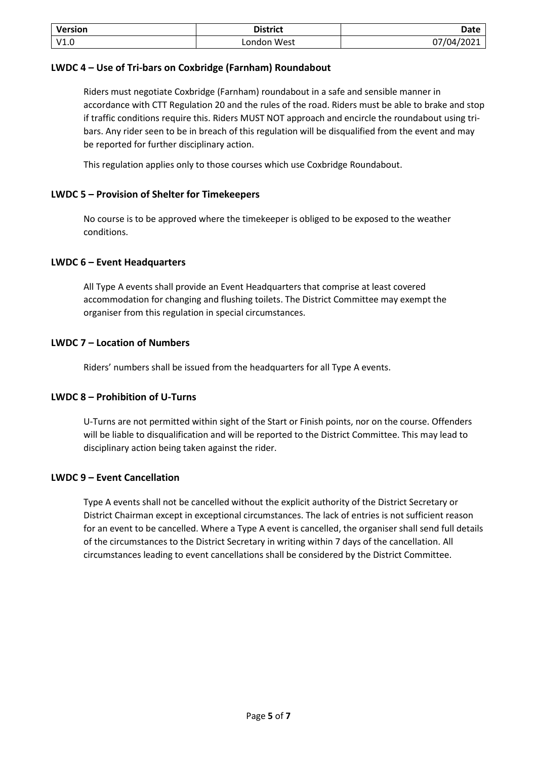| <b>Version</b> | <b>District</b> | Date       |
|----------------|-----------------|------------|
| V1.0           | London West     | 07/04/2021 |

#### <span id="page-4-0"></span>**LWDC 4 – Use of Tri-bars on Coxbridge (Farnham) Roundabout**

Riders must negotiate Coxbridge (Farnham) roundabout in a safe and sensible manner in accordance with CTT Regulation 20 and the rules of the road. Riders must be able to brake and stop if traffic conditions require this. Riders MUST NOT approach and encircle the roundabout using tribars. Any rider seen to be in breach of this regulation will be disqualified from the event and may be reported for further disciplinary action.

This regulation applies only to those courses which use Coxbridge Roundabout.

#### <span id="page-4-1"></span>**LWDC 5 – Provision of Shelter for Timekeepers**

No course is to be approved where the timekeeper is obliged to be exposed to the weather conditions.

#### <span id="page-4-2"></span>**LWDC 6 – Event Headquarters**

All Type A events shall provide an Event Headquarters that comprise at least covered accommodation for changing and flushing toilets. The District Committee may exempt the organiser from this regulation in special circumstances.

#### <span id="page-4-3"></span>**LWDC 7 – Location of Numbers**

Riders' numbers shall be issued from the headquarters for all Type A events.

#### <span id="page-4-4"></span>**LWDC 8 – Prohibition of U-Turns**

U-Turns are not permitted within sight of the Start or Finish points, nor on the course. Offenders will be liable to disqualification and will be reported to the District Committee. This may lead to disciplinary action being taken against the rider.

#### <span id="page-4-5"></span>**LWDC 9 – Event Cancellation**

Type A events shall not be cancelled without the explicit authority of the District Secretary or District Chairman except in exceptional circumstances. The lack of entries is not sufficient reason for an event to be cancelled. Where a Type A event is cancelled, the organiser shall send full details of the circumstances to the District Secretary in writing within 7 days of the cancellation. All circumstances leading to event cancellations shall be considered by the District Committee.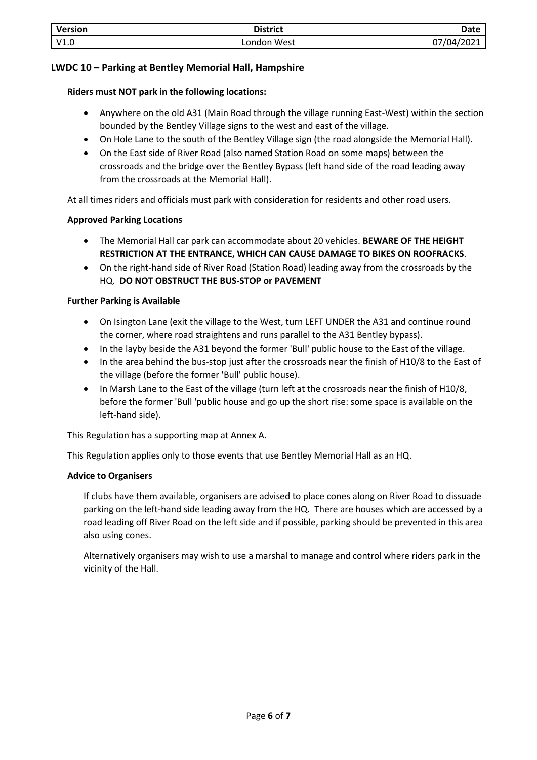| Version | <b>District</b> | Date                             |
|---------|-----------------|----------------------------------|
| V1.0    | West<br>.ondon  | <u>1/04/2021 .</u><br>07<br>ZUZI |

#### <span id="page-5-0"></span>**LWDC 10 – Parking at Bentley Memorial Hall, Hampshire**

#### **Riders must NOT park in the following locations:**

- Anywhere on the old A31 (Main Road through the village running East-West) within the section bounded by the Bentley Village signs to the west and east of the village.
- On Hole Lane to the south of the Bentley Village sign (the road alongside the Memorial Hall).
- On the East side of River Road (also named Station Road on some maps) between the crossroads and the bridge over the Bentley Bypass (left hand side of the road leading away from the crossroads at the Memorial Hall).

At all times riders and officials must park with consideration for residents and other road users.

#### **Approved Parking Locations**

- The Memorial Hall car park can accommodate about 20 vehicles. **BEWARE OF THE HEIGHT RESTRICTION AT THE ENTRANCE, WHICH CAN CAUSE DAMAGE TO BIKES ON ROOFRACKS**.
- On the right-hand side of River Road (Station Road) leading away from the crossroads by the HQ. **DO NOT OBSTRUCT THE BUS-STOP or PAVEMENT**

#### **Further Parking is Available**

- On Isington Lane (exit the village to the West, turn LEFT UNDER the A31 and continue round the corner, where road straightens and runs parallel to the A31 Bentley bypass).
- In the layby beside the A31 beyond the former 'Bull' public house to the East of the village.
- In the area behind the bus-stop just after the crossroads near the finish of H10/8 to the East of the village (before the former 'Bull' public house).
- In Marsh Lane to the East of the village (turn left at the crossroads near the finish of H10/8, before the former 'Bull 'public house and go up the short rise: some space is available on the left-hand side).

This Regulation has a supporting map at Annex A.

This Regulation applies only to those events that use Bentley Memorial Hall as an HQ.

#### **Advice to Organisers**

If clubs have them available, organisers are advised to place cones along on River Road to dissuade parking on the left-hand side leading away from the HQ. There are houses which are accessed by a road leading off River Road on the left side and if possible, parking should be prevented in this area also using cones.

Alternatively organisers may wish to use a marshal to manage and control where riders park in the vicinity of the Hall.